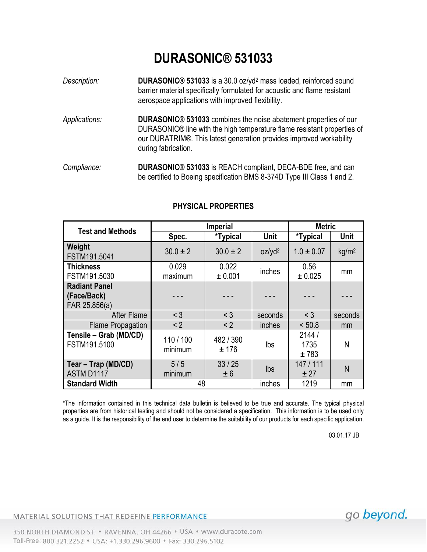## **DURASONIC® 531033**

| Description:  | DURASONIC® 531033 is a 30.0 oz/yd <sup>2</sup> mass loaded, reinforced sound<br>barrier material specifically formulated for acoustic and flame resistant<br>aerospace applications with improved flexibility.                            |  |  |  |  |
|---------------|-------------------------------------------------------------------------------------------------------------------------------------------------------------------------------------------------------------------------------------------|--|--|--|--|
| Applications: | DURASONIC® 531033 combines the noise abatement properties of our<br>DURASONIC® line with the high temperature flame resistant properties of<br>our DURATRIM®. This latest generation provides improved workability<br>during fabrication. |  |  |  |  |
| Compliance:   | <b>DURASONIC® 531033</b> is REACH compliant, DECA-BDE free, and can<br>be certified to Boeing specification BMS 8-374D Type III Class 1 and 2.                                                                                            |  |  |  |  |

| <b>Test and Methods</b>                              | <b>Imperial</b>      |                    |                    | <b>Metric</b>         |                   |
|------------------------------------------------------|----------------------|--------------------|--------------------|-----------------------|-------------------|
|                                                      | Spec.                | <i>*</i> Typical   | Unit               | <i>*</i> Typical      | <b>Unit</b>       |
| Weight<br>FSTM191.5041                               | $30.0 \pm 2$         | $30.0 \pm 2$       | oz/yd <sup>2</sup> | $1.0 \pm 0.07$        | kg/m <sup>2</sup> |
| <b>Thickness</b><br>FSTM191.5030                     | 0.029<br>maximum     | 0.022<br>± 0.001   | inches             | 0.56<br>± 0.025       | mm                |
| <b>Radiant Panel</b><br>(Face/Back)<br>FAR 25.856(a) |                      |                    |                    |                       |                   |
| <b>After Flame</b>                                   | $<$ 3                | $<$ 3              | seconds            | $<$ 3                 | seconds           |
| <b>Flame Propagation</b>                             | < 2                  | < 2                | inches             | < 50.8                | mm                |
| Tensile - Grab (MD/CD)<br>FSTM191.5100               | 110 / 100<br>minimum | 482 / 390<br>± 176 | lbs                | 2144/<br>1735<br>±783 | N                 |
| Tear - Trap (MD/CD)<br>ASTM D1117                    | 5/5<br>minimum       | 33/25<br>± 6       | lbs                | 147/111<br>± 27       | N                 |
| <b>Standard Width</b>                                | 48                   |                    | inches             | 1219                  | mm                |

## **PHYSICAL PROPERTIES**

\*The information contained in this technical data bulletin is believed to be true and accurate. The typical physical properties are from historical testing and should not be considered a specification. This information is to be used only as a guide. It is the responsibility of the end user to determine the suitability of our products for each specific application.

03.01.17 JB

go beyond.

## MATERIAL SOLUTIONS THAT REDEFINE PERFORMANCE